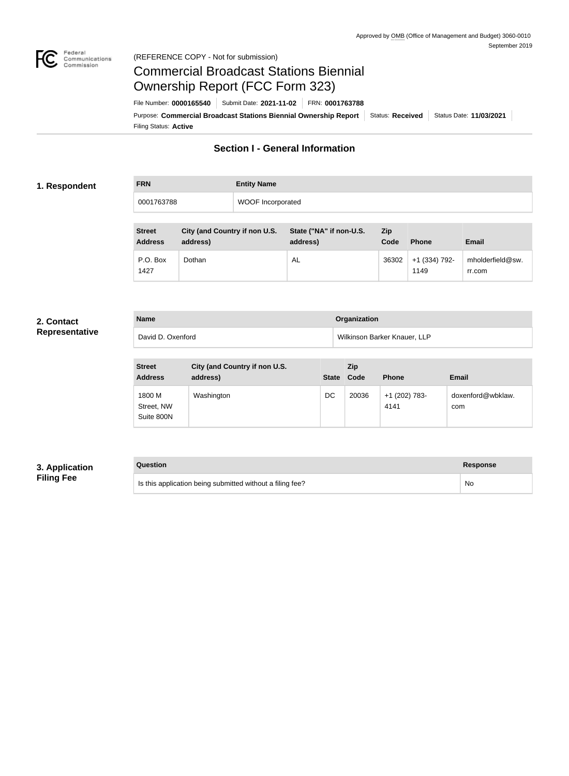

## Federal<br>Communications<br>Commission (REFERENCE COPY - Not for submission)

# Commercial Broadcast Stations Biennial Ownership Report (FCC Form 323)

Filing Status: **Active** Purpose: Commercial Broadcast Stations Biennial Ownership Report Status: Received | Status Date: 11/03/2021 File Number: **0000165540** Submit Date: **2021-11-02** FRN: **0001763788**

# **Section I - General Information**

## **1. Respondent**

| <b>FRN</b> | <b>Entity Name</b>       |
|------------|--------------------------|
| 0001763788 | <b>WOOF Incorporated</b> |

| <b>Street</b><br><b>Address</b> | City (and Country if non U.S.<br>address) | State ("NA" if non-U.S.<br>address) | Zip<br>Code | <b>Phone</b>          | <b>Email</b>               |
|---------------------------------|-------------------------------------------|-------------------------------------|-------------|-----------------------|----------------------------|
| P.O. Box<br>1427                | Dothan                                    | AL                                  | 36302       | +1 (334) 792-<br>1149 | mholderfield@sw.<br>rr.com |

#### **2. Contact Representative**

|  | Representative |  |
|--|----------------|--|
|  |                |  |

| <b>Name</b>       | Organization                 |
|-------------------|------------------------------|
| David D. Oxenford | Wilkinson Barker Knauer, LLP |

| <b>Street</b><br><b>Address</b>    | City (and Country if non U.S.<br>address) | <b>State</b> | <b>Zip</b><br>Code | <b>Phone</b>          | <b>Email</b>             |
|------------------------------------|-------------------------------------------|--------------|--------------------|-----------------------|--------------------------|
| 1800 M<br>Street, NW<br>Suite 800N | Washington                                | DC           | 20036              | +1 (202) 783-<br>4141 | doxenford@wbklaw.<br>com |

## **3. Application Filing Fee**

## **Question Response**

Is this application being submitted without a filing fee? No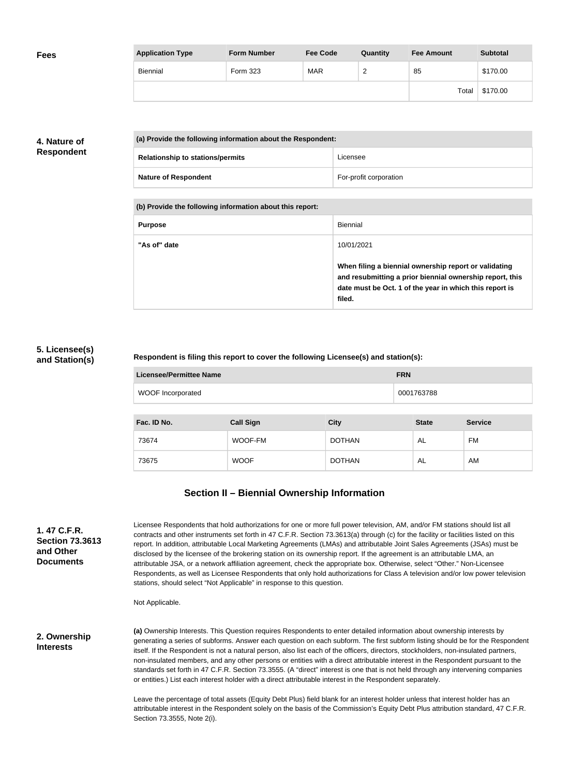| <b>Fees</b> | <b>Application Type</b> | <b>Form Number</b> | <b>Fee Code</b> | Quantity | <b>Fee Amount</b> | <b>Subtotal</b> |
|-------------|-------------------------|--------------------|-----------------|----------|-------------------|-----------------|
|             | <b>Biennial</b>         | Form 323           | <b>MAR</b>      | ∽        | 85                | \$170.00        |
|             |                         |                    |                 |          | Total             | \$170.00        |

## **4. Nature of Respondent**

| (a) Provide the following information about the Respondent: |                                         |                        |  |
|-------------------------------------------------------------|-----------------------------------------|------------------------|--|
|                                                             | <b>Relationship to stations/permits</b> | Licensee               |  |
|                                                             | <b>Nature of Respondent</b>             | For-profit corporation |  |

**(b) Provide the following information about this report:**

| <b>Purpose</b> | Biennial                                                                                                                                                                               |
|----------------|----------------------------------------------------------------------------------------------------------------------------------------------------------------------------------------|
| "As of" date   | 10/01/2021                                                                                                                                                                             |
|                | When filing a biennial ownership report or validating<br>and resubmitting a prior biennial ownership report, this<br>date must be Oct. 1 of the year in which this report is<br>filed. |

## **5. Licensee(s) and Station(s)**

#### **Respondent is filing this report to cover the following Licensee(s) and station(s):**

| <b>Licensee/Permittee Name</b> |                  |             | <b>FRN</b>   |                |  |
|--------------------------------|------------------|-------------|--------------|----------------|--|
| <b>WOOF Incorporated</b>       |                  |             | 0001763788   |                |  |
|                                |                  |             |              |                |  |
| Fac. ID No.                    | <b>Call Sign</b> | <b>City</b> | <b>State</b> | <b>Service</b> |  |

| Fac. ID No. | <b>Call Sign</b> | <b>City</b>   | <b>State</b> | <b>Service</b> |
|-------------|------------------|---------------|--------------|----------------|
| 73674       | WOOF-FM          | <b>DOTHAN</b> | AL           | FM             |
| 73675       | <b>WOOF</b>      | <b>DOTHAN</b> | AL           | AM             |

## **Section II – Biennial Ownership Information**

| 1.47 C.F.R.            |
|------------------------|
| <b>Section 73.3613</b> |
| and Other              |
| <b>Documents</b>       |

Licensee Respondents that hold authorizations for one or more full power television, AM, and/or FM stations should list all contracts and other instruments set forth in 47 C.F.R. Section 73.3613(a) through (c) for the facility or facilities listed on this report. In addition, attributable Local Marketing Agreements (LMAs) and attributable Joint Sales Agreements (JSAs) must be disclosed by the licensee of the brokering station on its ownership report. If the agreement is an attributable LMA, an attributable JSA, or a network affiliation agreement, check the appropriate box. Otherwise, select "Other." Non-Licensee Respondents, as well as Licensee Respondents that only hold authorizations for Class A television and/or low power television stations, should select "Not Applicable" in response to this question.

Not Applicable.

**2. Ownership Interests**

**(a)** Ownership Interests. This Question requires Respondents to enter detailed information about ownership interests by generating a series of subforms. Answer each question on each subform. The first subform listing should be for the Respondent itself. If the Respondent is not a natural person, also list each of the officers, directors, stockholders, non-insulated partners, non-insulated members, and any other persons or entities with a direct attributable interest in the Respondent pursuant to the standards set forth in 47 C.F.R. Section 73.3555. (A "direct" interest is one that is not held through any intervening companies or entities.) List each interest holder with a direct attributable interest in the Respondent separately.

Leave the percentage of total assets (Equity Debt Plus) field blank for an interest holder unless that interest holder has an attributable interest in the Respondent solely on the basis of the Commission's Equity Debt Plus attribution standard, 47 C.F.R. Section 73.3555, Note 2(i).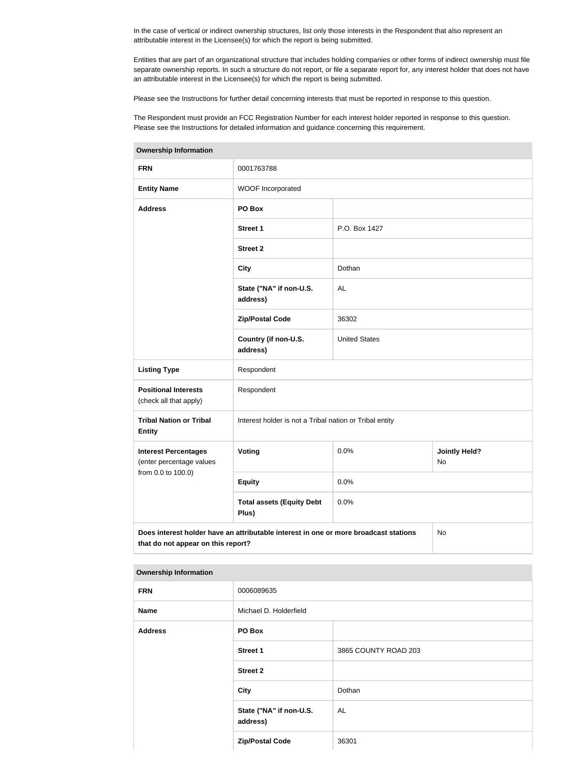In the case of vertical or indirect ownership structures, list only those interests in the Respondent that also represent an attributable interest in the Licensee(s) for which the report is being submitted.

Entities that are part of an organizational structure that includes holding companies or other forms of indirect ownership must file separate ownership reports. In such a structure do not report, or file a separate report for, any interest holder that does not have an attributable interest in the Licensee(s) for which the report is being submitted.

Please see the Instructions for further detail concerning interests that must be reported in response to this question.

The Respondent must provide an FCC Registration Number for each interest holder reported in response to this question. Please see the Instructions for detailed information and guidance concerning this requirement.

| <b>Ownership Information</b>                                                                                                     |                                                         |                      |  |  |  |
|----------------------------------------------------------------------------------------------------------------------------------|---------------------------------------------------------|----------------------|--|--|--|
| <b>FRN</b>                                                                                                                       | 0001763788                                              |                      |  |  |  |
| <b>Entity Name</b>                                                                                                               | WOOF Incorporated                                       |                      |  |  |  |
| <b>Address</b>                                                                                                                   | PO Box                                                  |                      |  |  |  |
|                                                                                                                                  | Street 1                                                | P.O. Box 1427        |  |  |  |
|                                                                                                                                  | <b>Street 2</b>                                         |                      |  |  |  |
|                                                                                                                                  | <b>City</b>                                             | Dothan               |  |  |  |
|                                                                                                                                  | State ("NA" if non-U.S.<br>address)                     | <b>AL</b>            |  |  |  |
|                                                                                                                                  | <b>Zip/Postal Code</b>                                  | 36302                |  |  |  |
|                                                                                                                                  | Country (if non-U.S.<br>address)                        | <b>United States</b> |  |  |  |
| <b>Listing Type</b>                                                                                                              | Respondent                                              |                      |  |  |  |
| <b>Positional Interests</b><br>(check all that apply)                                                                            | Respondent                                              |                      |  |  |  |
| <b>Tribal Nation or Tribal</b><br><b>Entity</b>                                                                                  | Interest holder is not a Tribal nation or Tribal entity |                      |  |  |  |
| <b>Interest Percentages</b><br>0.0%<br><b>Jointly Held?</b><br>Voting<br>(enter percentage values<br>No                          |                                                         |                      |  |  |  |
| from 0.0 to 100.0)                                                                                                               | <b>Equity</b>                                           | 0.0%                 |  |  |  |
|                                                                                                                                  | <b>Total assets (Equity Debt</b><br>Plus)               | 0.0%                 |  |  |  |
| Does interest holder have an attributable interest in one or more broadcast stations<br>No<br>that do not appear on this report? |                                                         |                      |  |  |  |

| <b>Ownership Information</b> |                                     |                      |
|------------------------------|-------------------------------------|----------------------|
| <b>FRN</b>                   | 0006089635                          |                      |
| <b>Name</b>                  | Michael D. Holderfield              |                      |
| <b>Address</b>               | PO Box                              |                      |
|                              | <b>Street 1</b>                     | 3865 COUNTY ROAD 203 |
|                              | <b>Street 2</b>                     |                      |
|                              | <b>City</b>                         | Dothan               |
|                              | State ("NA" if non-U.S.<br>address) | AL                   |
|                              | <b>Zip/Postal Code</b>              | 36301                |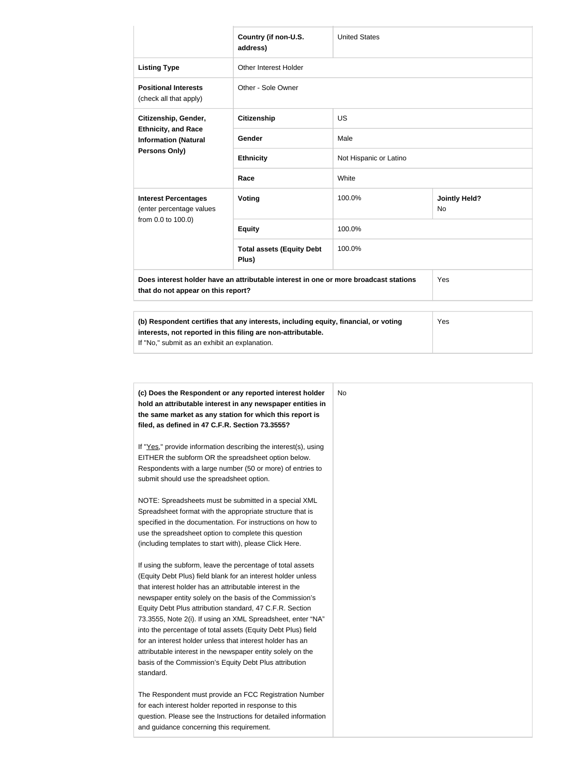|                                                                                                    | Country (if non-U.S.<br>address)                                                     | <b>United States</b>   |                            |
|----------------------------------------------------------------------------------------------------|--------------------------------------------------------------------------------------|------------------------|----------------------------|
| <b>Listing Type</b>                                                                                | <b>Other Interest Holder</b>                                                         |                        |                            |
| <b>Positional Interests</b><br>(check all that apply)                                              | Other - Sole Owner                                                                   |                        |                            |
| Citizenship, Gender,<br><b>Ethnicity, and Race</b><br><b>Information (Natural</b><br>Persons Only) | <b>Citizenship</b>                                                                   | <b>US</b>              |                            |
|                                                                                                    | Gender                                                                               | Male                   |                            |
|                                                                                                    | <b>Ethnicity</b>                                                                     | Not Hispanic or Latino |                            |
|                                                                                                    | Race                                                                                 | White                  |                            |
| <b>Interest Percentages</b><br>(enter percentage values<br>from 0.0 to 100.0)                      | <b>Voting</b>                                                                        | 100.0%                 | <b>Jointly Held?</b><br>No |
|                                                                                                    | <b>Equity</b>                                                                        | 100.0%                 |                            |
|                                                                                                    | <b>Total assets (Equity Debt</b><br>Plus)                                            | 100.0%                 |                            |
| that do not appear on this report?                                                                 | Does interest holder have an attributable interest in one or more broadcast stations |                        | Yes                        |
|                                                                                                    | (b) Respondent certifies that any interests, including equity, financial, or voting  |                        | Yes                        |

| (b) Respondent certifies that any interests, including equity, financial, or voting | <b>Yes</b> |
|-------------------------------------------------------------------------------------|------------|
| interests, not reported in this filing are non-attributable.                        |            |
| If "No," submit as an exhibit an explanation.                                       |            |

| hold an attributable interest in any newspaper entities in      |  |
|-----------------------------------------------------------------|--|
| the same market as any station for which this report is         |  |
| filed, as defined in 47 C.F.R. Section 73.3555?                 |  |
| If "Yes," provide information describing the interest(s), using |  |
| EITHER the subform OR the spreadsheet option below.             |  |
| Respondents with a large number (50 or more) of entries to      |  |
| submit should use the spreadsheet option.                       |  |
| NOTE: Spreadsheets must be submitted in a special XML           |  |
| Spreadsheet format with the appropriate structure that is       |  |
| specified in the documentation. For instructions on how to      |  |
| use the spreadsheet option to complete this question            |  |
| (including templates to start with), please Click Here.         |  |
| If using the subform, leave the percentage of total assets      |  |
| (Equity Debt Plus) field blank for an interest holder unless    |  |
| that interest holder has an attributable interest in the        |  |
| newspaper entity solely on the basis of the Commission's        |  |
| Equity Debt Plus attribution standard, 47 C.F.R. Section        |  |
| 73.3555, Note 2(i). If using an XML Spreadsheet, enter "NA"     |  |
| into the percentage of total assets (Equity Debt Plus) field    |  |
| for an interest holder unless that interest holder has an       |  |
| attributable interest in the newspaper entity solely on the     |  |
| basis of the Commission's Equity Debt Plus attribution          |  |
| standard.                                                       |  |
| The Respondent must provide an FCC Registration Number          |  |
| for each interest holder reported in response to this           |  |
| question. Please see the Instructions for detailed information  |  |
| and guidance concerning this requirement.                       |  |